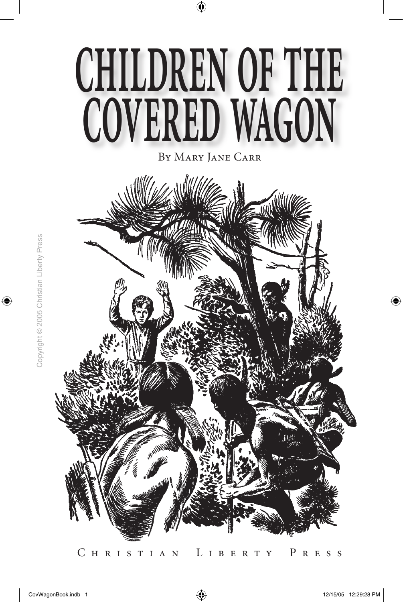

By Mary Jane Carr

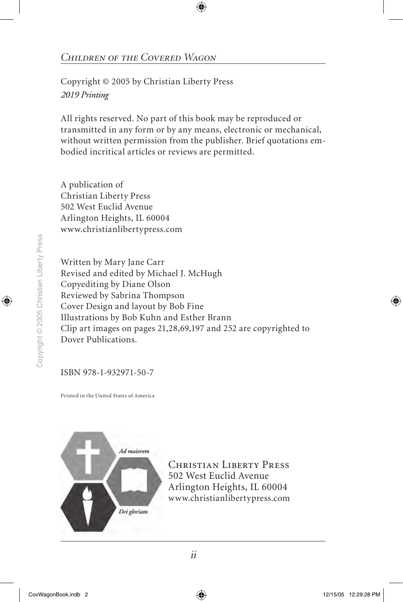Copyright © 2005 by Christian Liberty Press *2019 Printing*

All rights reserved. No part of this book may be reproduced or transmitted in any form or by any means, electronic or mechanical, without written permission from the publisher. Brief quotations embodied incritical articles or reviews are permitted.

A publication of Christian Liberty Press 502 West Euclid Avenue Arlington Heights, IL 60004 www.christianlibertypress.com

Written by Mary Jane Carr Revised and edited by Michael J. McHugh Copyediting by Diane Olson Reviewed by Sabrina Thompson Cover Design and layout by Bob Fine Illustrations by Bob Kuhn and Esther Brann Clip art images on pages 21,28,69,197 and 252 are copyrighted to Dover Publications.

ISBN 978-1-932971-50-7

Printed in the United States of America



CHRISTIAN LIBERTY PRESS 502 West Euclid Avenue Arlington Heights, IL 60004 www.christianlibertypress.com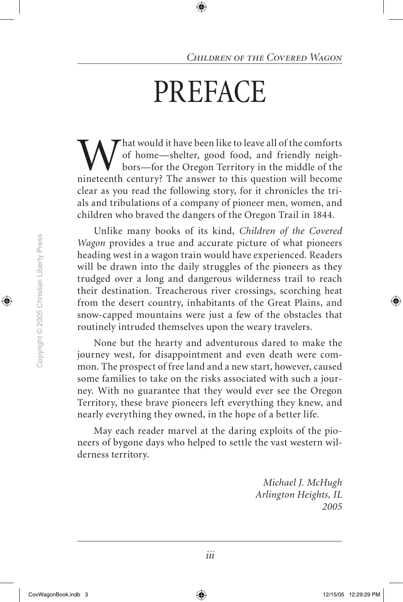## **PREFACE**

What would it have been like to leave all of the comforts<br>of home—shelter, good food, and friendly neigh-<br>pors—for the Oregon Territory in the middle of the<br>nineteenth century? The answer to this question will become of home—shelter, good food, and friendly neighbors—for the Oregon Territory in the middle of the nineteenth century? The answer to this question will become clear as you read the following story, for it chronicles the trials and tribulations of a company of pioneer men, women, and children who braved the dangers of the Oregon Trail in 1844.

Unlike many books of its kind, *Children of the Covered Wagon* provides a true and accurate picture of what pioneers heading west in a wagon train would have experienced. Readers will be drawn into the daily struggles of the pioneers as they trudged over a long and dangerous wilderness trail to reach their destination. Treacherous river crossings, scorching heat from the desert country, inhabitants of the Great Plains, and snow-capped mountains were just a few of the obstacles that routinely intruded themselves upon the weary travelers.

None but the hearty and adventurous dared to make the journey west, for disappointment and even death were common. The prospect of free land and a new start, however, caused some families to take on the risks associated with such a journey. With no guarantee that they would ever see the Oregon Territory, these brave pioneers left everything they knew, and nearly everything they owned, in the hope of a better life.

May each reader marvel at the daring exploits of the pioneers of bygone days who helped to settle the vast western wilderness territory.

> *Michael J. McHugh Arlington Heights, IL 2005*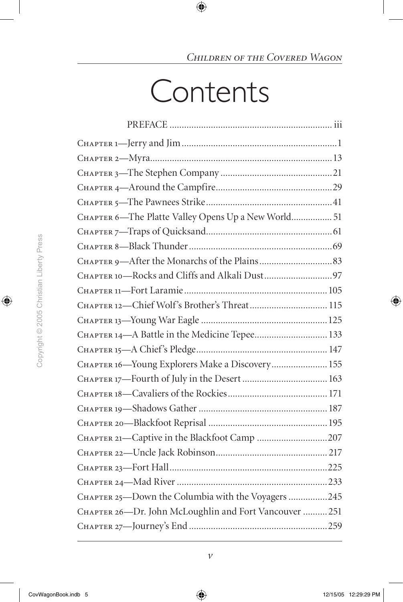## **Contents**

| CHAPTER 6-The Platte Valley Opens Up a New World 51    |  |
|--------------------------------------------------------|--|
|                                                        |  |
|                                                        |  |
|                                                        |  |
|                                                        |  |
|                                                        |  |
| CHAPTER 12-Chief Wolf's Brother's Threat 115           |  |
|                                                        |  |
| CHAPTER 14-A Battle in the Medicine Tepee 133          |  |
|                                                        |  |
| CHAPTER 16-Young Explorers Make a Discovery 155        |  |
|                                                        |  |
|                                                        |  |
|                                                        |  |
|                                                        |  |
| CHAPTER 21-Captive in the Blackfoot Camp 207           |  |
|                                                        |  |
|                                                        |  |
|                                                        |  |
| CHAPTER 25-Down the Columbia with the Voyagers 245     |  |
| CHAPTER 26-Dr. John McLoughlin and Fort Vancouver  251 |  |
|                                                        |  |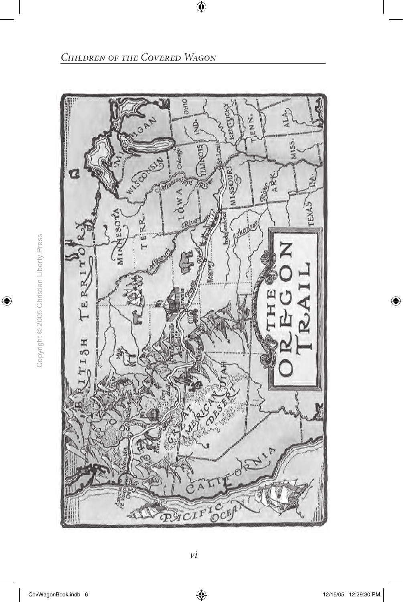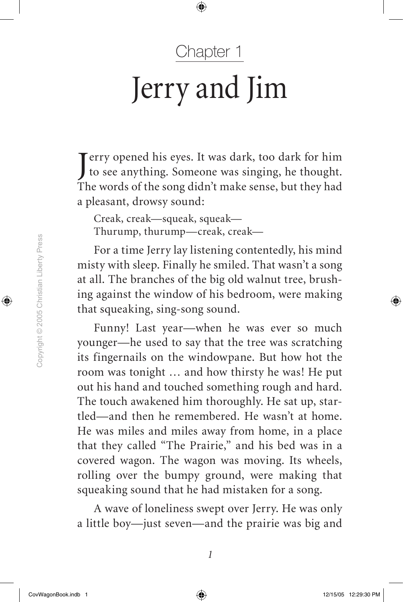#### Chapter 1

# Jerry and Jim

Jerry opened his eyes. It was dark, too dark for him<br>to see anything. Someone was singing, he thought. erry opened his eyes. It was dark, too dark for him The words of the song didn't make sense, but they had a pleasant, drowsy sound:

Creak, creak—squeak, squeak— Thurump, thurump—creak, creak—

For a time Jerry lay listening contentedly, his mind misty with sleep. Finally he smiled. That wasn't a song at all. The branches of the big old walnut tree, brushing against the window of his bedroom, were making that squeaking, sing-song sound.

Funny! Last year—when he was ever so much younger—he used to say that the tree was scratching its fingernails on the windowpane. But how hot the room was tonight … and how thirsty he was! He put out his hand and touched something rough and hard. The touch awakened him thoroughly. He sat up, startled—and then he remembered. He wasn't at home. He was miles and miles away from home, in a place that they called "The Prairie," and his bed was in a covered wagon. The wagon was moving. Its wheels, rolling over the bumpy ground, were making that squeaking sound that he had mistaken for a song.

A wave of loneliness swept over Jerry. He was only a little boy—just seven—and the prairie was big and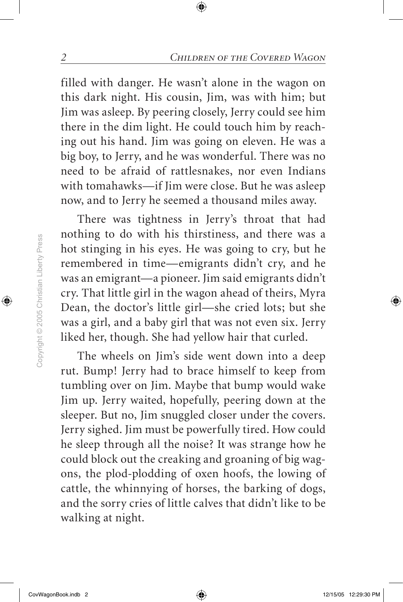filled with danger. He wasn't alone in the wagon on this dark night. His cousin, Jim, was with him; but Jim was asleep. By peering closely, Jerry could see him there in the dim light. He could touch him by reaching out his hand. Jim was going on eleven. He was a big boy, to Jerry, and he was wonderful. There was no need to be afraid of rattlesnakes, nor even Indians with tomahawks—if Jim were close. But he was asleep now, and to Jerry he seemed a thousand miles away.

There was tightness in Jerry's throat that had nothing to do with his thirstiness, and there was a hot stinging in his eyes. He was going to cry, but he remembered in time—emigrants didn't cry, and he was an emigrant—a pioneer. Jim said emigrants didn't cry. That little girl in the wagon ahead of theirs, Myra Dean, the doctor's little girl—she cried lots; but she was a girl, and a baby girl that was not even six. Jerry liked her, though. She had yellow hair that curled.

The wheels on Jim's side went down into a deep rut. Bump! Jerry had to brace himself to keep from tumbling over on Jim. Maybe that bump would wake Jim up. Jerry waited, hopefully, peering down at the sleeper. But no, Jim snuggled closer under the covers. Jerry sighed. Jim must be powerfully tired. How could he sleep through all the noise? It was strange how he could block out the creaking and groaning of big wagons, the plod-plodding of oxen hoofs, the lowing of cattle, the whinnying of horses, the barking of dogs, and the sorry cries of little calves that didn't like to be walking at night.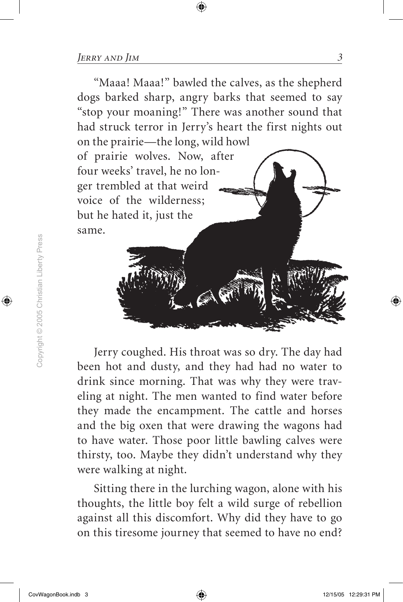"Maaa! Maaa!" bawled the calves, as the shepherd dogs barked sharp, angry barks that seemed to say "stop your moaning!" There was another sound that had struck terror in Jerry's heart the first nights out on the prairie—the long, wild howl

of prairie wolves. Now, after four weeks' travel, he no longer trembled at that weird voice of the wilderness; but he hated it, just the same.

Jerry coughed. His throat was so dry. The day had been hot and dusty, and they had had no water to drink since morning. That was why they were traveling at night. The men wanted to find water before they made the encampment. The cattle and horses and the big oxen that were drawing the wagons had to have water. Those poor little bawling calves were thirsty, too. Maybe they didn't understand why they were walking at night.

Sitting there in the lurching wagon, alone with his thoughts, the little boy felt a wild surge of rebellion against all this discomfort. Why did they have to go on this tiresome journey that seemed to have no end?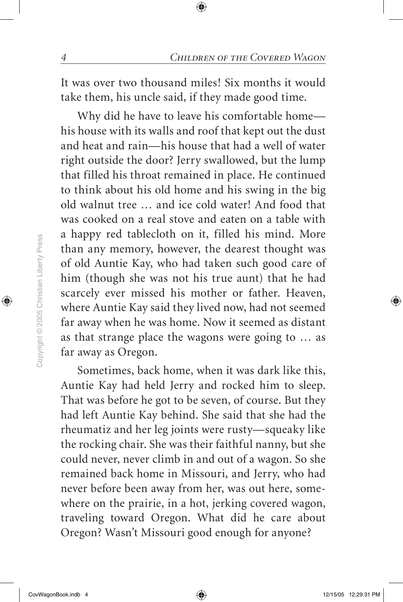It was over two thousand miles! Six months it would take them, his uncle said, if they made good time.

Why did he have to leave his comfortable home his house with its walls and roof that kept out the dust and heat and rain—his house that had a well of water right outside the door? Jerry swallowed, but the lump that filled his throat remained in place. He continued to think about his old home and his swing in the big old walnut tree … and ice cold water! And food that was cooked on a real stove and eaten on a table with a happy red tablecloth on it, filled his mind. More than any memory, however, the dearest thought was of old Auntie Kay, who had taken such good care of him (though she was not his true aunt) that he had scarcely ever missed his mother or father. Heaven, where Auntie Kay said they lived now, had not seemed far away when he was home. Now it seemed as distant as that strange place the wagons were going to … as far away as Oregon.

Sometimes, back home, when it was dark like this, Auntie Kay had held Jerry and rocked him to sleep. That was before he got to be seven, of course. But they had left Auntie Kay behind. She said that she had the rheumatiz and her leg joints were rusty—squeaky like the rocking chair. She was their faithful nanny, but she could never, never climb in and out of a wagon. So she remained back home in Missouri, and Jerry, who had never before been away from her, was out here, somewhere on the prairie, in a hot, jerking covered wagon, traveling toward Oregon. What did he care about Oregon? Wasn't Missouri good enough for anyone?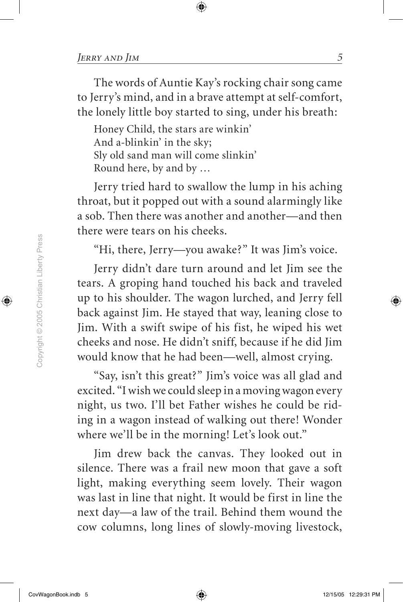The words of Auntie Kay's rocking chair song came to Jerry's mind, and in a brave attempt at self-comfort, the lonely little boy started to sing, under his breath:

Honey Child, the stars are winkin' And a-blinkin' in the sky; Sly old sand man will come slinkin' Round here, by and by …

Jerry tried hard to swallow the lump in his aching throat, but it popped out with a sound alarmingly like a sob. Then there was another and another—and then there were tears on his cheeks.

"Hi, there, Jerry—you awake?" It was Jim's voice.

Jerry didn't dare turn around and let Jim see the tears. A groping hand touched his back and traveled up to his shoulder. The wagon lurched, and Jerry fell back against Jim. He stayed that way, leaning close to Jim. With a swift swipe of his fist, he wiped his wet cheeks and nose. He didn't sniff, because if he did Jim would know that he had been—well, almost crying.

"Say, isn't this great?" Jim's voice was all glad and excited. "I wish we could sleep in a moving wagon every night, us two. I'll bet Father wishes he could be riding in a wagon instead of walking out there! Wonder where we'll be in the morning! Let's look out."

Jim drew back the canvas. They looked out in silence. There was a frail new moon that gave a soft light, making everything seem lovely. Their wagon was last in line that night. It would be first in line the next day—a law of the trail. Behind them wound the cow columns, long lines of slowly-moving livestock,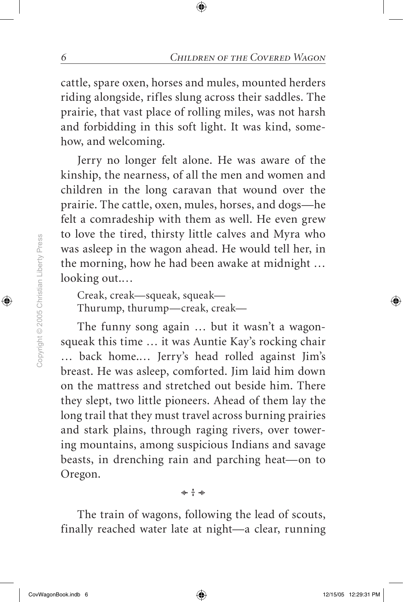cattle, spare oxen, horses and mules, mounted herders riding alongside, rifles slung across their saddles. The prairie, that vast place of rolling miles, was not harsh and forbidding in this soft light. It was kind, somehow, and welcoming.

Jerry no longer felt alone. He was aware of the kinship, the nearness, of all the men and women and children in the long caravan that wound over the prairie. The cattle, oxen, mules, horses, and dogs—he felt a comradeship with them as well. He even grew to love the tired, thirsty little calves and Myra who was asleep in the wagon ahead. He would tell her, in the morning, how he had been awake at midnight … looking out.…

Creak, creak—squeak, squeak— Thurump, thurump—creak, creak—

The funny song again … but it wasn't a wagonsqueak this time … it was Auntie Kay's rocking chair … back home.… Jerry's head rolled against Jim's breast. He was asleep, comforted. Jim laid him down on the mattress and stretched out beside him. There they slept, two little pioneers. Ahead of them lay the long trail that they must travel across burning prairies and stark plains, through raging rivers, over towering mountains, among suspicious Indians and savage beasts, in drenching rain and parching heat—on to Oregon.

The train of wagons, following the lead of scouts, finally reached water late at night—a clear, running

\* + \*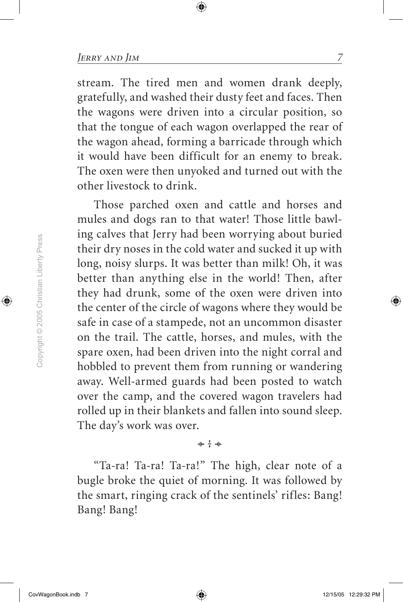stream. The tired men and women drank deeply, gratefully, and washed their dusty feet and faces. Then the wagons were driven into a circular position, so that the tongue of each wagon overlapped the rear of the wagon ahead, forming a barricade through which it would have been difficult for an enemy to break. The oxen were then unyoked and turned out with the other livestock to drink.

Those parched oxen and cattle and horses and mules and dogs ran to that water! Those little bawling calves that Jerry had been worrying about buried their dry noses in the cold water and sucked it up with long, noisy slurps. It was better than milk! Oh, it was better than anything else in the world! Then, after they had drunk, some of the oxen were driven into the center of the circle of wagons where they would be safe in case of a stampede, not an uncommon disaster on the trail. The cattle, horses, and mules, with the spare oxen, had been driven into the night corral and hobbled to prevent them from running or wandering away. Well-armed guards had been posted to watch over the camp, and the covered wagon travelers had rolled up in their blankets and fallen into sound sleep. The day's work was over.

"Ta-ra! Ta-ra! Ta-ra!" The high, clear note of a bugle broke the quiet of morning. It was followed by the smart, ringing crack of the sentinels' rifles: Bang! Bang! Bang!

\* + \*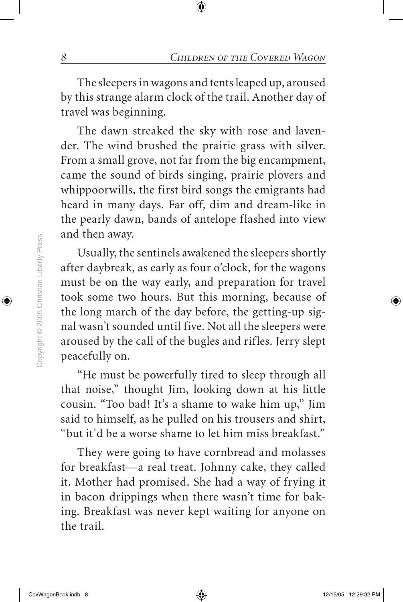The sleepers in wagons and tents leaped up, aroused by this strange alarm clock of the trail. Another day of travel was beginning.

The dawn streaked the sky with rose and lavender. The wind brushed the prairie grass with silver. From a small grove, not far from the big encampment, came the sound of birds singing, prairie plovers and whippoorwills, the first bird songs the emigrants had heard in many days. Far off, dim and dream-like in the pearly dawn, bands of antelope flashed into view and then away.

Usually, the sentinels awakened the sleepers shortly after daybreak, as early as four o'clock, for the wagons must be on the way early, and preparation for travel took some two hours. But this morning, because of the long march of the day before, the getting-up signal wasn't sounded until five. Not all the sleepers were aroused by the call of the bugles and rifles. Jerry slept peacefully on.

"He must be powerfully tired to sleep through all that noise," thought Jim, looking down at his little cousin. "Too bad! It's a shame to wake him up," Jim said to himself, as he pulled on his trousers and shirt, "but it'd be a worse shame to let him miss breakfast."

They were going to have cornbread and molasses for breakfast—a real treat. Johnny cake, they called it. Mother had promised. She had a way of frying it in bacon drippings when there wasn't time for baking. Breakfast was never kept waiting for anyone on the trail.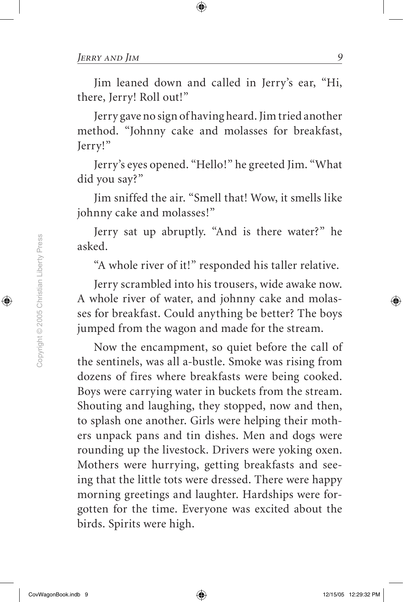Jim leaned down and called in Jerry's ear, "Hi, there, Jerry! Roll out!"

Jerry gave no sign of having heard. Jim tried another method. "Johnny cake and molasses for breakfast, Jerry!"

Jerry's eyes opened. "Hello!" he greeted Jim. "What did you say?"

Jim sniffed the air. "Smell that! Wow, it smells like johnny cake and molasses!"

Jerry sat up abruptly. "And is there water?" he asked.

"A whole river of it!" responded his taller relative.

Jerry scrambled into his trousers, wide awake now. A whole river of water, and johnny cake and molasses for breakfast. Could anything be better? The boys jumped from the wagon and made for the stream.

Now the encampment, so quiet before the call of the sentinels, was all a-bustle. Smoke was rising from dozens of fires where breakfasts were being cooked. Boys were carrying water in buckets from the stream. Shouting and laughing, they stopped, now and then, to splash one another. Girls were helping their mothers unpack pans and tin dishes. Men and dogs were rounding up the livestock. Drivers were yoking oxen. Mothers were hurrying, getting breakfasts and seeing that the little tots were dressed. There were happy morning greetings and laughter. Hardships were forgotten for the time. Everyone was excited about the birds. Spirits were high.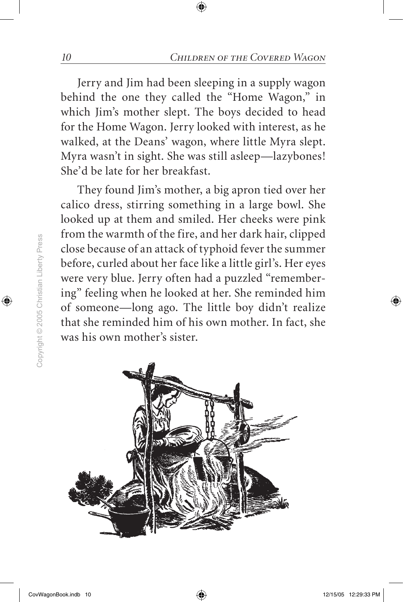Jerry and Jim had been sleeping in a supply wagon behind the one they called the "Home Wagon," in which Jim's mother slept. The boys decided to head for the Home Wagon. Jerry looked with interest, as he walked, at the Deans' wagon, where little Myra slept. Myra wasn't in sight. She was still asleep—lazybones! She'd be late for her breakfast.

They found Jim's mother, a big apron tied over her calico dress, stirring something in a large bowl. She looked up at them and smiled. Her cheeks were pink from the warmth of the fire, and her dark hair, clipped close because of an attack of typhoid fever the summer before, curled about her face like a little girl's. Her eyes were very blue. Jerry often had a puzzled "remembering" feeling when he looked at her. She reminded him of someone—long ago. The little boy didn't realize that she reminded him of his own mother. In fact, she was his own mother's sister.

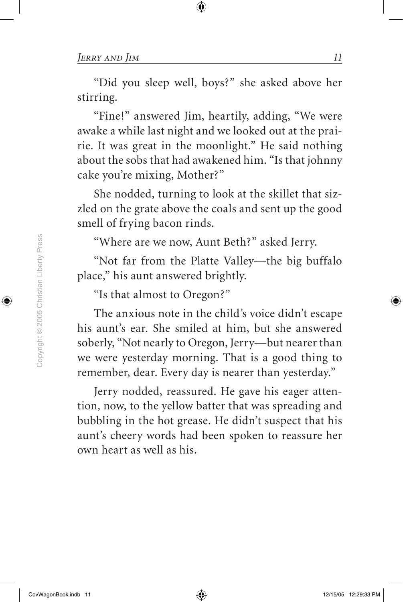"Did you sleep well, boys?" she asked above her stirring.

"Fine!" answered Jim, heartily, adding, "We were awake a while last night and we looked out at the prairie. It was great in the moonlight." He said nothing about the sobs that had awakened him. "Is that johnny cake you're mixing, Mother?"

She nodded, turning to look at the skillet that sizzled on the grate above the coals and sent up the good smell of frying bacon rinds.

"Where are we now, Aunt Beth?" asked Jerry.

"Not far from the Platte Valley—the big buffalo place," his aunt answered brightly.

"Is that almost to Oregon?"

The anxious note in the child's voice didn't escape his aunt's ear. She smiled at him, but she answered soberly, "Not nearly to Oregon, Jerry—but nearer than we were yesterday morning. That is a good thing to remember, dear. Every day is nearer than yesterday."

Jerry nodded, reassured. He gave his eager attention, now, to the yellow batter that was spreading and bubbling in the hot grease. He didn't suspect that his aunt's cheery words had been spoken to reassure her own heart as well as his.

Copyright @ 2005 Christian Liberty Press Copyright © 2005 Christian Liberty Press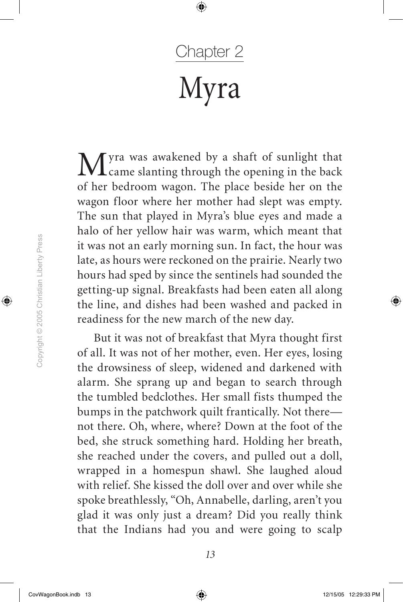### Chapter 2 Myra

Myra was awakened by a shaft of sunlight that came slanting through the opening in the back of her bedroom wagon. The place beside her on the wagon floor where her mother had slept was empty. The sun that played in Myra's blue eyes and made a halo of her yellow hair was warm, which meant that it was not an early morning sun. In fact, the hour was late, as hours were reckoned on the prairie. Nearly two hours had sped by since the sentinels had sounded the getting-up signal. Breakfasts had been eaten all along the line, and dishes had been washed and packed in readiness for the new march of the new day.

But it was not of breakfast that Myra thought first of all. It was not of her mother, even. Her eyes, losing the drowsiness of sleep, widened and darkened with alarm. She sprang up and began to search through the tumbled bedclothes. Her small fists thumped the bumps in the patchwork quilt frantically. Not there not there. Oh, where, where? Down at the foot of the bed, she struck something hard. Holding her breath, she reached under the covers, and pulled out a doll, wrapped in a homespun shawl. She laughed aloud with relief. She kissed the doll over and over while she spoke breathlessly, "Oh, Annabelle, darling, aren't you glad it was only just a dream? Did you really think that the Indians had you and were going to scalp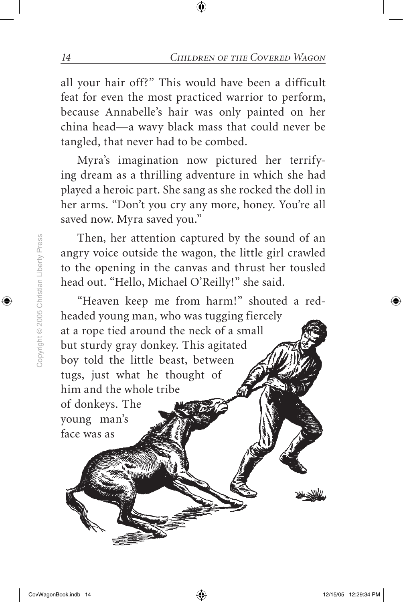all your hair off?" This would have been a difficult feat for even the most practiced warrior to perform, because Annabelle's hair was only painted on her china head—a wavy black mass that could never be tangled, that never had to be combed.

Myra's imagination now pictured her terrifying dream as a thrilling adventure in which she had played a heroic part. She sang as she rocked the doll in her arms. "Don't you cry any more, honey. You're all saved now. Myra saved you."

Then, her attention captured by the sound of an angry voice outside the wagon, the little girl crawled to the opening in the canvas and thrust her tousled head out. "Hello, Michael O'Reilly!" she said.

"Heaven keep me from harm!" shouted a redheaded young man, who was tugging fiercely at a rope tied around the neck of a small but sturdy gray donkey. This agitated boy told the little beast, between tugs, just what he thought of him and the whole tribe of donkeys. The young man's face was as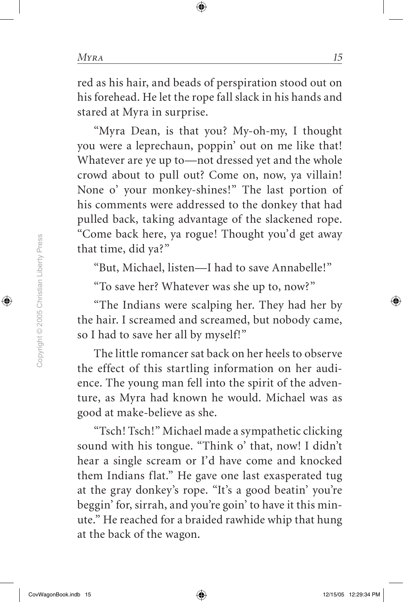red as his hair, and beads of perspiration stood out on his forehead. He let the rope fall slack in his hands and stared at Myra in surprise.

"Myra Dean, is that you? My-oh-my, I thought you were a leprechaun, poppin' out on me like that! Whatever are ye up to—not dressed yet and the whole crowd about to pull out? Come on, now, ya villain! None o' your monkey-shines!" The last portion of his comments were addressed to the donkey that had pulled back, taking advantage of the slackened rope. "Come back here, ya rogue! Thought you'd get away that time, did ya?"

"But, Michael, listen—I had to save Annabelle!"

"To save her? Whatever was she up to, now?"

"The Indians were scalping her. They had her by the hair. I screamed and screamed, but nobody came, so I had to save her all by myself!"

The little romancer sat back on her heels to observe the effect of this startling information on her audience. The young man fell into the spirit of the adventure, as Myra had known he would. Michael was as good at make-believe as she.

"Tsch! Tsch!" Michael made a sympathetic clicking sound with his tongue. "Think o' that, now! I didn't hear a single scream or I'd have come and knocked them Indians flat." He gave one last exasperated tug at the gray donkey's rope. "It's a good beatin' you're beggin' for, sirrah, and you're goin' to have it this minute." He reached for a braided rawhide whip that hung at the back of the wagon.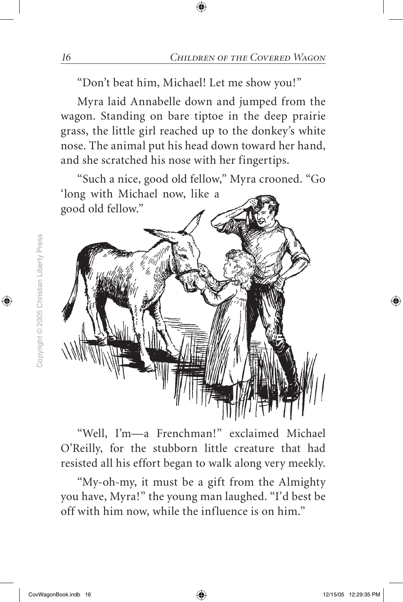"Don't beat him, Michael! Let me show you!"

Myra laid Annabelle down and jumped from the wagon. Standing on bare tiptoe in the deep prairie grass, the little girl reached up to the donkey's white nose. The animal put his head down toward her hand, and she scratched his nose with her fingertips.

"Such a nice, good old fellow," Myra crooned. "Go 'long with Michael now, like a



"Well, I'm—a Frenchman!" exclaimed Michael O'Reilly, for the stubborn little creature that had resisted all his effort began to walk along very meekly.

"My-oh-my, it must be a gift from the Almighty you have, Myra!" the young man laughed. "I'd best be off with him now, while the influence is on him."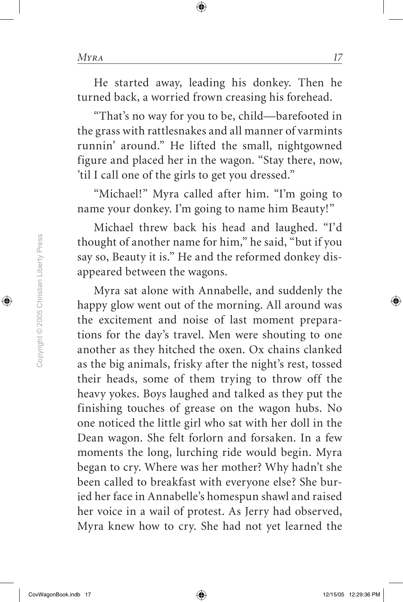He started away, leading his donkey. Then he turned back, a worried frown creasing his forehead.

"That's no way for you to be, child—barefooted in the grass with rattlesnakes and all manner of varmints runnin' around." He lifted the small, nightgowned figure and placed her in the wagon. "Stay there, now, 'til I call one of the girls to get you dressed."

"Michael!" Myra called after him. "I'm going to name your donkey. I'm going to name him Beauty!"

Michael threw back his head and laughed. "I'd thought of another name for him," he said, "but if you say so, Beauty it is." He and the reformed donkey disappeared between the wagons.

Myra sat alone with Annabelle, and suddenly the happy glow went out of the morning. All around was the excitement and noise of last moment preparations for the day's travel. Men were shouting to one another as they hitched the oxen. Ox chains clanked as the big animals, frisky after the night's rest, tossed their heads, some of them trying to throw off the heavy yokes. Boys laughed and talked as they put the finishing touches of grease on the wagon hubs. No one noticed the little girl who sat with her doll in the Dean wagon. She felt forlorn and forsaken. In a few moments the long, lurching ride would begin. Myra began to cry. Where was her mother? Why hadn't she been called to breakfast with everyone else? She buried her face in Annabelle's homespun shawl and raised her voice in a wail of protest. As Jerry had observed, Myra knew how to cry. She had not yet learned the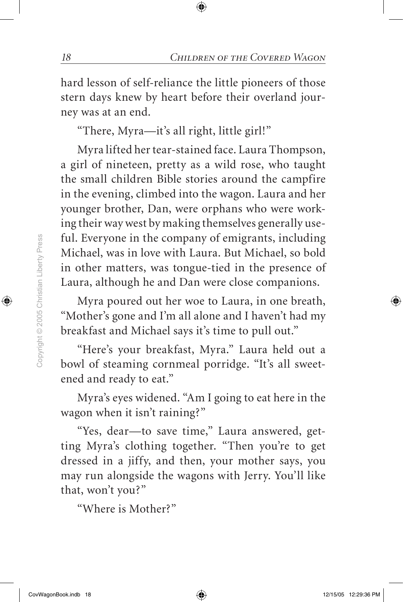hard lesson of self-reliance the little pioneers of those stern days knew by heart before their overland journey was at an end.

"There, Myra—it's all right, little girl!"

Myra lifted her tear-stained face. Laura Thompson, a girl of nineteen, pretty as a wild rose, who taught the small children Bible stories around the campfire in the evening, climbed into the wagon. Laura and her younger brother, Dan, were orphans who were working their way west by making themselves generally useful. Everyone in the company of emigrants, including Michael, was in love with Laura. But Michael, so bold in other matters, was tongue-tied in the presence of Laura, although he and Dan were close companions.

Myra poured out her woe to Laura, in one breath, "Mother's gone and I'm all alone and I haven't had my breakfast and Michael says it's time to pull out."

"Here's your breakfast, Myra." Laura held out a bowl of steaming cornmeal porridge. "It's all sweetened and ready to eat."

Myra's eyes widened. "Am I going to eat here in the wagon when it isn't raining?"

"Yes, dear—to save time," Laura answered, getting Myra's clothing together. "Then you're to get dressed in a jiffy, and then, your mother says, you may run alongside the wagons with Jerry. You'll like that, won't you?"

"Where is Mother?"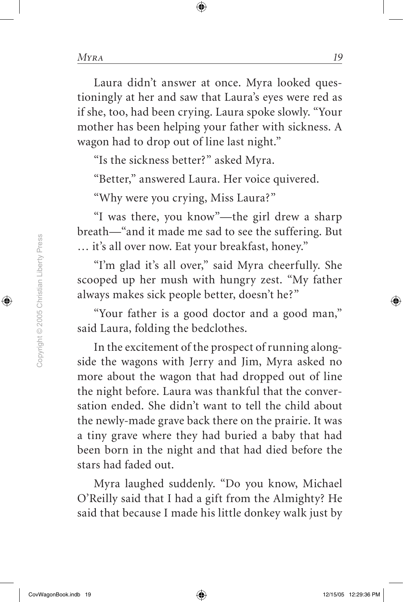Laura didn't answer at once. Myra looked questioningly at her and saw that Laura's eyes were red as if she, too, had been crying. Laura spoke slowly. "Your mother has been helping your father with sickness. A wagon had to drop out of line last night."

"Is the sickness better?" asked Myra.

"Better," answered Laura. Her voice quivered.

"Why were you crying, Miss Laura?"

"I was there, you know"—the girl drew a sharp breath—"and it made me sad to see the suffering. But … it's all over now. Eat your breakfast, honey."

"I'm glad it's all over," said Myra cheerfully. She scooped up her mush with hungry zest. "My father always makes sick people better, doesn't he?"

"Your father is a good doctor and a good man," said Laura, folding the bedclothes.

In the excitement of the prospect of running alongside the wagons with Jerry and Jim, Myra asked no more about the wagon that had dropped out of line the night before. Laura was thankful that the conversation ended. She didn't want to tell the child about the newly-made grave back there on the prairie. It was a tiny grave where they had buried a baby that had been born in the night and that had died before the stars had faded out.

Myra laughed suddenly. "Do you know, Michael O'Reilly said that I had a gift from the Almighty? He said that because I made his little donkey walk just by